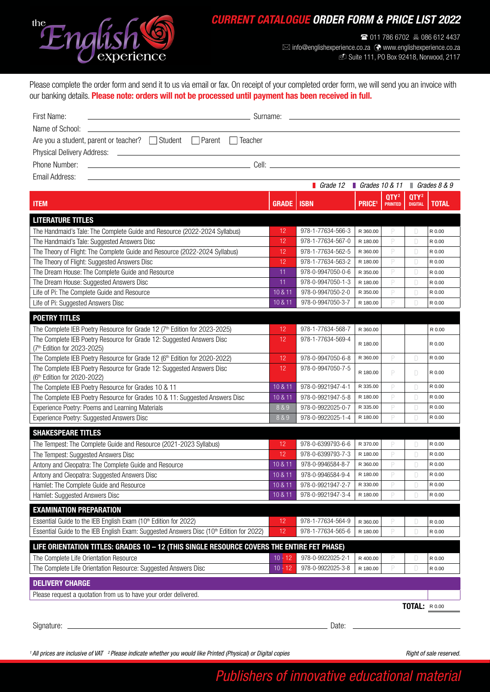

## *CURRENT CATALOGUE ORDER FORM & PRICE LIST 2022*

( 011 786 6702 086 612 4437  $\boxtimes$  info@englishexperience.co.za  $\odot$  www.englishexperience.co.za f Suite 111, PO Box 92418, Norwood, 2117

Please complete the order form and send it to us via email or fax. On receipt of your completed order form, we will send you an invoice with our banking details. Please note: orders will not be processed until payment has been received in full.

| First Name:<br><u> 1980 - Andrea Andrew Maria (h. 1980).</u><br>1901 - Andrew Maria (h. 1902).                                          |                                      |
|-----------------------------------------------------------------------------------------------------------------------------------------|--------------------------------------|
| Are you a student, parent or teacher? $\Box$ Student $\Box$ Parent $\Box$ Teacher                                                       |                                      |
|                                                                                                                                         |                                      |
|                                                                                                                                         |                                      |
| Fmail Address:<br><u> 1980 - Johann Stoff, deutscher Stoff, der Stoff, der Stoff, der Stoff, der Stoff, der Stoff, der Stoff, der S</u> |                                      |
|                                                                                                                                         | Grade 12 Grades 10 & 11 Grades 8 & 9 |

| <b>ITEM</b>                                                                                          | <b>GRADE</b> | <b>ISBN</b>       | <b>PRICE</b> <sup>1</sup> | QTY <sup>2</sup><br><b>PRINTED</b> | QTY <sup>2</sup><br><b>DIGITAL</b> | <b>TOTAL</b> |
|------------------------------------------------------------------------------------------------------|--------------|-------------------|---------------------------|------------------------------------|------------------------------------|--------------|
| <b>LITERATURE TITLES</b>                                                                             |              |                   |                           |                                    |                                    |              |
| The Handmaid's Tale: The Complete Guide and Resource (2022-2024 Syllabus)                            | 12           | 978-1-77634-566-3 | R 360.00                  | P                                  | D                                  | R 0.00       |
| The Handmaid's Tale: Suggested Answers Disc                                                          | 12           | 978-1-77634-567-0 | R 180.00                  | P                                  | D                                  | R 0.00       |
| The Theory of Flight: The Complete Guide and Resource (2022-2024 Syllabus)                           | 12           | 978-1-77634-562-5 | R 360.00                  | P                                  | D                                  | R 0.00       |
| The Theory of Flight: Suggested Answers Disc                                                         | 12           | 978-1-77634-563-2 | R 180.00                  | P                                  | D                                  | R 0.00       |
| The Dream House: The Complete Guide and Resource                                                     | 11           | 978-0-9947050-0-6 | R 350.00                  | P                                  | D                                  | R 0.00       |
| The Dream House: Suggested Answers Disc                                                              | 11           | 978-0-9947050-1-3 | R 180.00                  | P                                  | D                                  | R 0.00       |
| Life of Pi: The Complete Guide and Resource                                                          | 10 & 11      | 978-0-9947050-2-0 | R 350.00                  | P                                  | $\Box$                             | R 0.00       |
| Life of Pi: Suggested Answers Disc                                                                   | 10 & 11      | 978-0-9947050-3-7 | R 180.00                  | P                                  | D                                  | R 0.00       |
| <b>POETRY TITLES</b>                                                                                 |              |                   |                           |                                    |                                    |              |
| The Complete IEB Poetry Resource for Grade 12 (7 <sup>th</sup> Edition for 2023-2025)                | 12           | 978-1-77634-568-7 | R 360.00                  |                                    |                                    | R 0.00       |
| The Complete IEB Poetry Resource for Grade 12: Suggested Answers Disc<br>(7th Edition for 2023-2025) | 12           | 978-1-77634-569-4 | R 180.00                  |                                    |                                    | R 0.00       |
| The Complete IEB Poetry Resource for Grade 12 (6 <sup>th</sup> Edition for 2020-2022)                | 12           | 978-0-9947050-6-8 | R 360.00                  | P                                  | D                                  | R 0.00       |
| The Complete IEB Poetry Resource for Grade 12: Suggested Answers Disc<br>(6th Edition for 2020-2022) | 12           | 978-0-9947050-7-5 | R 180.00                  | P                                  | D                                  | R 0.00       |
| The Complete IEB Poetry Resource for Grades 10 & 11                                                  | 10 & 11      | 978-0-9921947-4-1 | R 335.00                  | P                                  | D                                  | R 0.00       |
| The Complete IEB Poetry Resource for Grades 10 & 11: Suggested Answers Disc                          | 10 & 11      | 978-0-9921947-5-8 | R 180.00                  | P                                  | D                                  | R 0.00       |
| Experience Poetry: Poems and Learning Materials                                                      | 8 & 9        | 978-0-9922025-0-7 | R 335.00                  | P                                  | D                                  | R 0.00       |
| Experience Poetry: Suggested Answers Disc                                                            |              | 978-0-9922025-1-4 | R 180.00                  | P                                  | D                                  | R 0.00       |
| <b>SHAKESPEARE TITLES</b>                                                                            |              |                   |                           |                                    |                                    |              |
| The Tempest: The Complete Guide and Resource (2021-2023 Syllabus)                                    | 12           | 978-0-6399793-6-6 | R 370.00                  | P                                  | D                                  | R 0.00       |
| The Tempest: Suggested Answers Disc                                                                  | 12           | 978-0-6399793-7-3 | R 180.00                  | P                                  | D                                  | R 0.00       |
| Antony and Cleopatra: The Complete Guide and Resource                                                |              | 978-0-9946584-8-7 | R 360.00                  | P                                  | D                                  | R 0.00       |
| Antony and Cleopatra: Suggested Answers Disc                                                         | 10 & 11      | 978-0-9946584-9-4 | R 180.00                  | P                                  | D                                  | R 0.00       |
| Hamlet: The Complete Guide and Resource                                                              | 10 & 11      | 978-0-9921947-2-7 | R 330.00                  | P                                  | D                                  | R 0.00       |
| Hamlet: Suggested Answers Disc                                                                       | 10 & 11      | 978-0-9921947-3-4 | R 180.00                  | P                                  | D                                  | R 0.00       |
| <b>EXAMINATION PREPARATION</b>                                                                       |              |                   |                           |                                    |                                    |              |
| Essential Guide to the IEB English Exam (10th Edition for 2022)                                      | 12           | 978-1-77634-564-9 | R 360.00                  | P                                  | D                                  | R 0.00       |
| Essential Guide to the IEB English Exam: Suggested Answers Disc (10th Edition for 2022)              | 12           | 978-1-77634-565-6 | R 180.00                  | P                                  | D                                  | R 0.00       |
|                                                                                                      |              |                   |                           |                                    |                                    |              |
| LIFE ORIENTATION TITLES: GRADES 10 - 12 (THIS SINGLE RESOURCE COVERS THE ENTIRE FET PHASE)           |              |                   |                           |                                    |                                    |              |
| The Complete Life Orientation Resource                                                               | $10 - 12$    | 978-0-9922025-2-1 | R 400.00                  | P<br>P                             | D                                  | R 0.00       |
| The Complete Life Orientation Resource: Suggested Answers Disc                                       | $10 - 12$    | 978-0-9922025-3-8 | R 180.00                  |                                    | D                                  | R 0.00       |
| <b>DELIVERY CHARGE</b>                                                                               |              |                   |                           |                                    |                                    |              |
| Please request a quotation from us to have your order delivered.                                     |              |                   |                           |                                    |                                    |              |
|                                                                                                      |              |                   |                           |                                    | TOTAL: R0.00                       |              |

Signature: Date:

*Right of sale reserved.*

## *Publishers of innovative educational material*